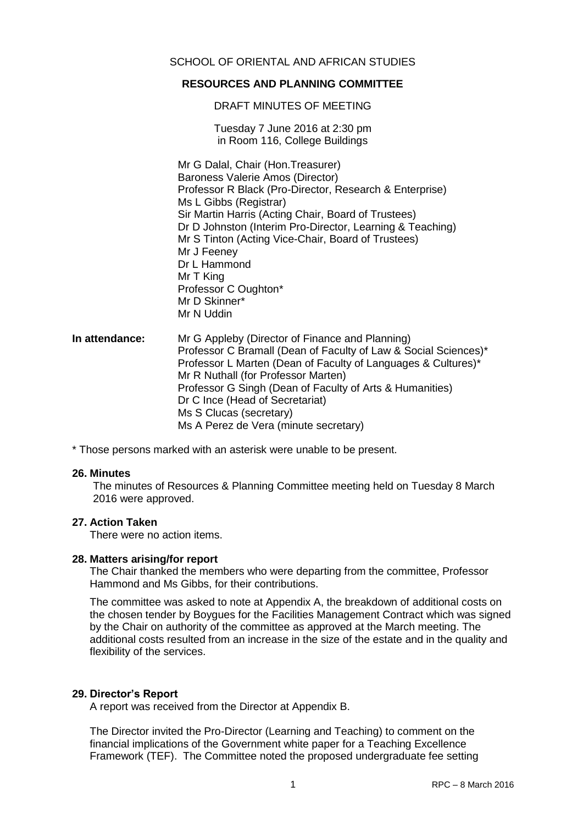## SCHOOL OF ORIENTAL AND AFRICAN STUDIES

#### **RESOURCES AND PLANNING COMMITTEE**

DRAFT MINUTES OF MEETING

Tuesday 7 June 2016 at 2:30 pm in Room 116, College Buildings

Mr G Dalal, Chair (Hon.Treasurer) Baroness Valerie Amos (Director) Professor R Black (Pro-Director, Research & Enterprise) Ms L Gibbs (Registrar) Sir Martin Harris (Acting Chair, Board of Trustees) Dr D Johnston (Interim Pro-Director, Learning & Teaching) Mr S Tinton (Acting Vice-Chair, Board of Trustees) Mr J Feeney Dr L Hammond Mr T King Professor C Oughton\* Mr D Skinner\* Mr N Uddin

#### **In attendance:** Mr G Appleby (Director of Finance and Planning) Professor C Bramall (Dean of Faculty of Law & Social Sciences)\* Professor L Marten (Dean of Faculty of Languages & Cultures)\* Mr R Nuthall (for Professor Marten) Professor G Singh (Dean of Faculty of Arts & Humanities) Dr C Ince (Head of Secretariat) Ms S Clucas (secretary) Ms A Perez de Vera (minute secretary)

\* Those persons marked with an asterisk were unable to be present.

#### **26. Minutes**

The minutes of Resources & Planning Committee meeting held on Tuesday 8 March 2016 were approved.

#### **27. Action Taken**

There were no action items.

#### **28. Matters arising/for report**

The Chair thanked the members who were departing from the committee, Professor Hammond and Ms Gibbs, for their contributions.

The committee was asked to note at Appendix A, the breakdown of additional costs on the chosen tender by Boygues for the Facilities Management Contract which was signed by the Chair on authority of the committee as approved at the March meeting. The additional costs resulted from an increase in the size of the estate and in the quality and flexibility of the services.

#### **29. Director's Report**

A report was received from the Director at Appendix B.

The Director invited the Pro-Director (Learning and Teaching) to comment on the financial implications of the Government white paper for a Teaching Excellence Framework (TEF). The Committee noted the proposed undergraduate fee setting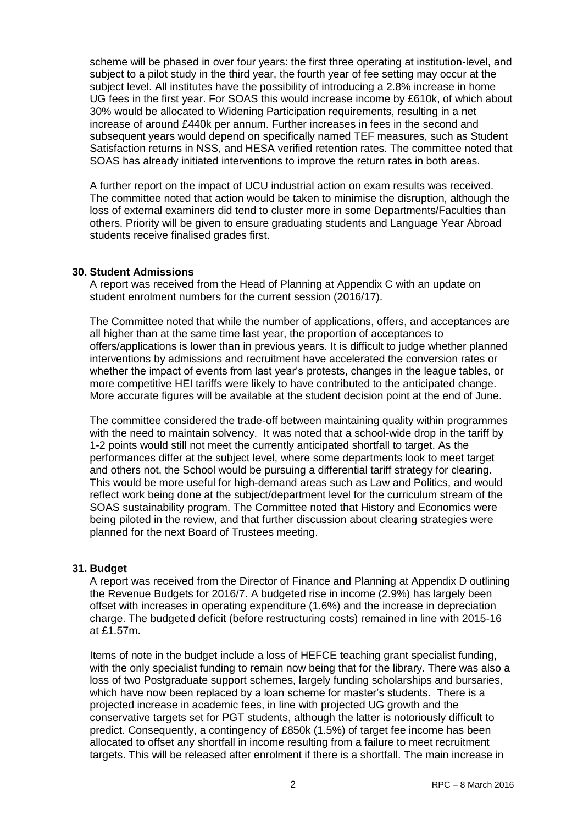scheme will be phased in over four years: the first three operating at institution-level, and subiect to a pilot study in the third year, the fourth year of fee setting may occur at the subject level. All institutes have the possibility of introducing a 2.8% increase in home UG fees in the first year. For SOAS this would increase income by £610k, of which about 30% would be allocated to Widening Participation requirements, resulting in a net increase of around £440k per annum. Further increases in fees in the second and subsequent years would depend on specifically named TEF measures, such as Student Satisfaction returns in NSS, and HESA verified retention rates. The committee noted that SOAS has already initiated interventions to improve the return rates in both areas.

A further report on the impact of UCU industrial action on exam results was received. The committee noted that action would be taken to minimise the disruption, although the loss of external examiners did tend to cluster more in some Departments/Faculties than others. Priority will be given to ensure graduating students and Language Year Abroad students receive finalised grades first.

#### **30. Student Admissions**

A report was received from the Head of Planning at Appendix C with an update on student enrolment numbers for the current session (2016/17).

The Committee noted that while the number of applications, offers, and acceptances are all higher than at the same time last year, the proportion of acceptances to offers/applications is lower than in previous years. It is difficult to judge whether planned interventions by admissions and recruitment have accelerated the conversion rates or whether the impact of events from last year's protests, changes in the league tables, or more competitive HEI tariffs were likely to have contributed to the anticipated change. More accurate figures will be available at the student decision point at the end of June.

The committee considered the trade-off between maintaining quality within programmes with the need to maintain solvency. It was noted that a school-wide drop in the tariff by 1-2 points would still not meet the currently anticipated shortfall to target. As the performances differ at the subject level, where some departments look to meet target and others not, the School would be pursuing a differential tariff strategy for clearing. This would be more useful for high-demand areas such as Law and Politics, and would reflect work being done at the subject/department level for the curriculum stream of the SOAS sustainability program. The Committee noted that History and Economics were being piloted in the review, and that further discussion about clearing strategies were planned for the next Board of Trustees meeting.

### **31. Budget**

A report was received from the Director of Finance and Planning at Appendix D outlining the Revenue Budgets for 2016/7. A budgeted rise in income (2.9%) has largely been offset with increases in operating expenditure (1.6%) and the increase in depreciation charge. The budgeted deficit (before restructuring costs) remained in line with 2015-16 at £1.57m.

Items of note in the budget include a loss of HEFCE teaching grant specialist funding, with the only specialist funding to remain now being that for the library. There was also a loss of two Postgraduate support schemes, largely funding scholarships and bursaries, which have now been replaced by a loan scheme for master's students. There is a projected increase in academic fees, in line with projected UG growth and the conservative targets set for PGT students, although the latter is notoriously difficult to predict. Consequently, a contingency of £850k (1.5%) of target fee income has been allocated to offset any shortfall in income resulting from a failure to meet recruitment targets. This will be released after enrolment if there is a shortfall. The main increase in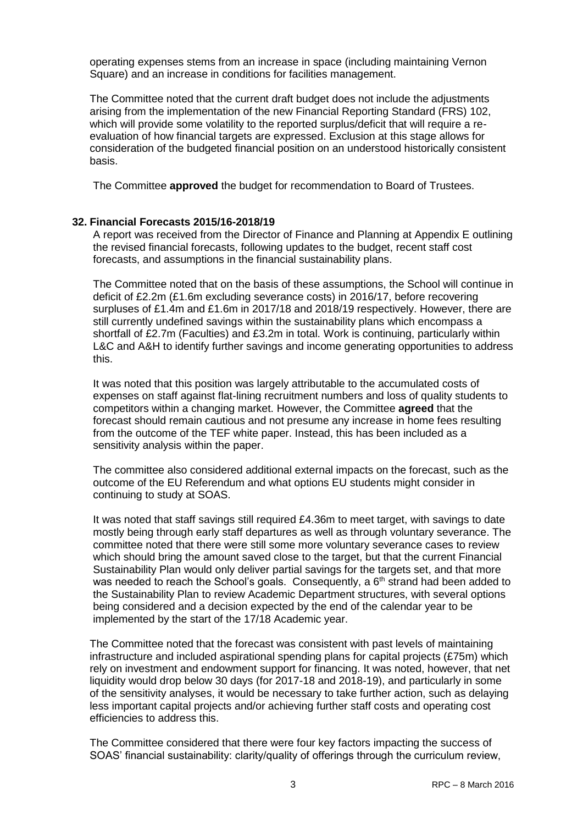operating expenses stems from an increase in space (including maintaining Vernon Square) and an increase in conditions for facilities management.

The Committee noted that the current draft budget does not include the adjustments arising from the implementation of the new Financial Reporting Standard (FRS) 102, which will provide some volatility to the reported surplus/deficit that will require a reevaluation of how financial targets are expressed. Exclusion at this stage allows for consideration of the budgeted financial position on an understood historically consistent basis.

The Committee **approved** the budget for recommendation to Board of Trustees.

#### **32. Financial Forecasts 2015/16-2018/19**

A report was received from the Director of Finance and Planning at Appendix E outlining the revised financial forecasts, following updates to the budget, recent staff cost forecasts, and assumptions in the financial sustainability plans.

The Committee noted that on the basis of these assumptions, the School will continue in deficit of £2.2m (£1.6m excluding severance costs) in 2016/17, before recovering surpluses of £1.4m and £1.6m in 2017/18 and 2018/19 respectively. However, there are still currently undefined savings within the sustainability plans which encompass a shortfall of £2.7m (Faculties) and £3.2m in total. Work is continuing, particularly within L&C and A&H to identify further savings and income generating opportunities to address this.

It was noted that this position was largely attributable to the accumulated costs of expenses on staff against flat-lining recruitment numbers and loss of quality students to competitors within a changing market. However, the Committee **agreed** that the forecast should remain cautious and not presume any increase in home fees resulting from the outcome of the TEF white paper. Instead, this has been included as a sensitivity analysis within the paper.

The committee also considered additional external impacts on the forecast, such as the outcome of the EU Referendum and what options EU students might consider in continuing to study at SOAS.

It was noted that staff savings still required £4.36m to meet target, with savings to date mostly being through early staff departures as well as through voluntary severance. The committee noted that there were still some more voluntary severance cases to review which should bring the amount saved close to the target, but that the current Financial Sustainability Plan would only deliver partial savings for the targets set, and that more was needed to reach the School's goals. Consequently, a  $6<sup>th</sup>$  strand had been added to the Sustainability Plan to review Academic Department structures, with several options being considered and a decision expected by the end of the calendar year to be implemented by the start of the 17/18 Academic year.

The Committee noted that the forecast was consistent with past levels of maintaining infrastructure and included aspirational spending plans for capital projects (£75m) which rely on investment and endowment support for financing. It was noted, however, that net liquidity would drop below 30 days (for 2017-18 and 2018-19), and particularly in some of the sensitivity analyses, it would be necessary to take further action, such as delaying less important capital projects and/or achieving further staff costs and operating cost efficiencies to address this.

The Committee considered that there were four key factors impacting the success of SOAS' financial sustainability: clarity/quality of offerings through the curriculum review,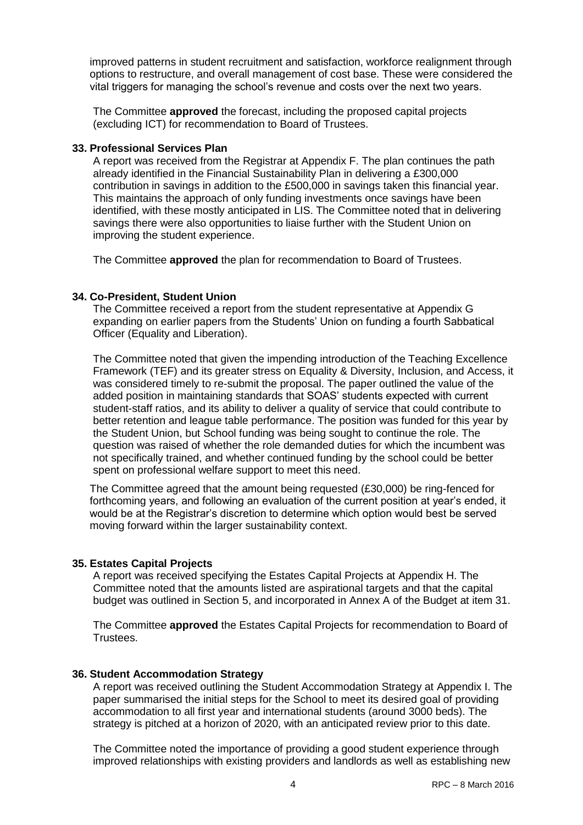improved patterns in student recruitment and satisfaction, workforce realignment through options to restructure, and overall management of cost base. These were considered the vital triggers for managing the school's revenue and costs over the next two years.

The Committee **approved** the forecast, including the proposed capital projects (excluding ICT) for recommendation to Board of Trustees.

#### **33. Professional Services Plan**

A report was received from the Registrar at Appendix F. The plan continues the path already identified in the Financial Sustainability Plan in delivering a £300,000 contribution in savings in addition to the £500,000 in savings taken this financial year. This maintains the approach of only funding investments once savings have been identified, with these mostly anticipated in LIS. The Committee noted that in delivering savings there were also opportunities to liaise further with the Student Union on improving the student experience.

The Committee **approved** the plan for recommendation to Board of Trustees.

#### **34. Co-President, Student Union**

The Committee received a report from the student representative at Appendix G expanding on earlier papers from the Students' Union on funding a fourth Sabbatical Officer (Equality and Liberation).

The Committee noted that given the impending introduction of the Teaching Excellence Framework (TEF) and its greater stress on Equality & Diversity, Inclusion, and Access, it was considered timely to re-submit the proposal. The paper outlined the value of the added position in maintaining standards that SOAS' students expected with current student-staff ratios, and its ability to deliver a quality of service that could contribute to better retention and league table performance. The position was funded for this year by the Student Union, but School funding was being sought to continue the role. The question was raised of whether the role demanded duties for which the incumbent was not specifically trained, and whether continued funding by the school could be better spent on professional welfare support to meet this need.

The Committee agreed that the amount being requested (£30,000) be ring-fenced for forthcoming years, and following an evaluation of the current position at year's ended, it would be at the Registrar's discretion to determine which option would best be served moving forward within the larger sustainability context.

### **35. Estates Capital Projects**

A report was received specifying the Estates Capital Projects at Appendix H. The Committee noted that the amounts listed are aspirational targets and that the capital budget was outlined in Section 5, and incorporated in Annex A of the Budget at item 31.

The Committee **approved** the Estates Capital Projects for recommendation to Board of Trustees.

#### **36. Student Accommodation Strategy**

A report was received outlining the Student Accommodation Strategy at Appendix I. The paper summarised the initial steps for the School to meet its desired goal of providing accommodation to all first year and international students (around 3000 beds). The strategy is pitched at a horizon of 2020, with an anticipated review prior to this date.

The Committee noted the importance of providing a good student experience through improved relationships with existing providers and landlords as well as establishing new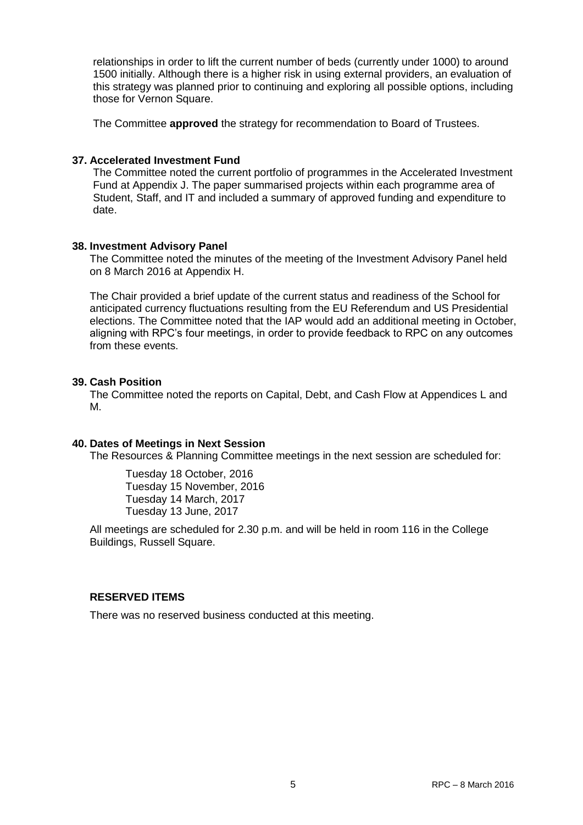relationships in order to lift the current number of beds (currently under 1000) to around 1500 initially. Although there is a higher risk in using external providers, an evaluation of this strategy was planned prior to continuing and exploring all possible options, including those for Vernon Square.

The Committee **approved** the strategy for recommendation to Board of Trustees.

### **37. Accelerated Investment Fund**

The Committee noted the current portfolio of programmes in the Accelerated Investment Fund at Appendix J. The paper summarised projects within each programme area of Student, Staff, and IT and included a summary of approved funding and expenditure to date.

## **38. Investment Advisory Panel**

The Committee noted the minutes of the meeting of the Investment Advisory Panel held on 8 March 2016 at Appendix H.

The Chair provided a brief update of the current status and readiness of the School for anticipated currency fluctuations resulting from the EU Referendum and US Presidential elections. The Committee noted that the IAP would add an additional meeting in October, aligning with RPC's four meetings, in order to provide feedback to RPC on any outcomes from these events.

### **39. Cash Position**

The Committee noted the reports on Capital, Debt, and Cash Flow at Appendices L and M.

### **40. Dates of Meetings in Next Session**

The Resources & Planning Committee meetings in the next session are scheduled for:

Tuesday 18 October, 2016 Tuesday 15 November, 2016 Tuesday 14 March, 2017 Tuesday 13 June, 2017

All meetings are scheduled for 2.30 p.m. and will be held in room 116 in the College Buildings, Russell Square.

### **RESERVED ITEMS**

There was no reserved business conducted at this meeting.